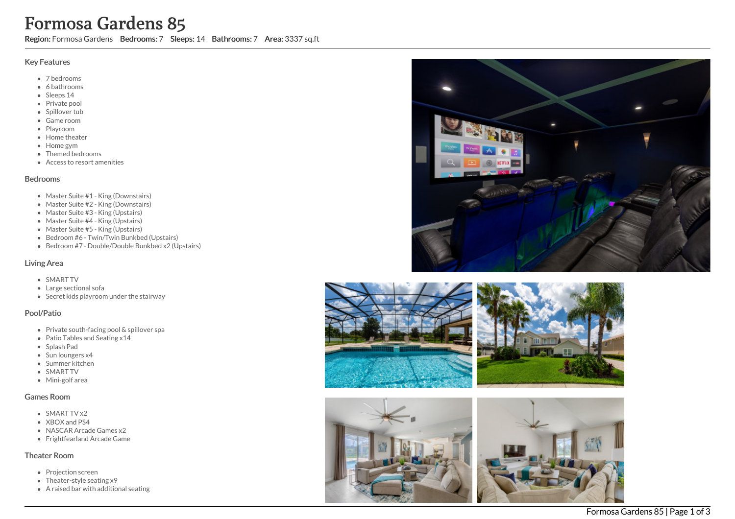# Formosa Gardens 85

Region: Formosa Gardens Bedrooms: 7 Sleeps: 14 Bathrooms: 7 Area: 3337 sq.ft

#### Key Features

- 7 b e d r o o m s
- 6 bathrooms
- Sleeps 14
- Private pool
- Spillover tub
- Game room
- Playroom
- Home theate r
- H o m e g y m
- T h e m e d b e d r o o m s
- Access to resort amenities

#### **Bedrooms**

- Master Suite #1 King (Downstairs)
- Master Suite #2 King (Downstairs)
- Master Suite #3 King (Upstairs)
- Master Suite #4 King (Upstairs)
- Master Suite #5 King (Upstairs)
- Bedroom #6 Twin/Twin Bunkbed (Upstairs)
- Bedroom #7 Double/Double Bunkbed x2 (Upstairs)

## Living Area

- SMART TV
- Large sectional sofa
- Secret kids playroom under the stairway

## Pool/Patio

- Private south-facing pool & spillover spa
- Patio Tables and Seating x14
- S pla s h P a d
- Sun loungers x4
- S u m m e r kit c h e n
- SMART TV
- Mini-golf area

## Games Room

- SMART TV x2
- X B O X a n d P S 4
- NASCAR Arcade Games x2
- Frightfearland Arcade Game

#### Theater Room

- Projection screen
- Theater-style seating x9
- A raised bar with additional seating





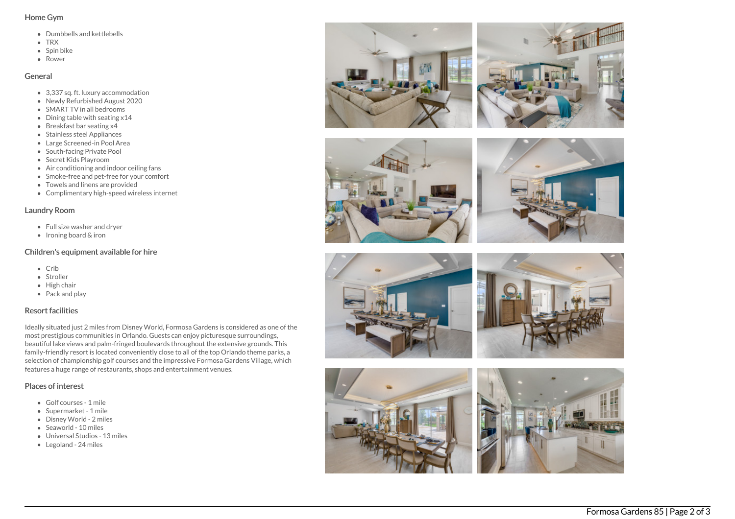#### Home Gym

- Dumbbells and kettlebells
- TRX
- $\bullet$  Spin bike
- Rower

#### General

- 3.337 sq. ft. luxury accommodation
- Newly Refurbished August 2020
- SMART TV in all bedrooms
- Dining table with seating x14
- Breakfast bar seating x4
- Stainless steel Appliances
- Large Screened-in Pool Area
- South-facing Private Pool
- Secret Kids Playroom
- Air conditioning and indoor ceiling fans
- Smoke-free and pet-free for your comfort
- Towels and linens are provided
- Complimentary high-speed wireless internet

## Laundry Room

- Full size washer and dryer
- $\bullet$  Ironing board & iron

# Children's equipment available for hire

- Crib
- Stroller
- High chair
- Pack and play

# Resort facilities

Ideally situated just 2 miles from Disney World, Formosa Gardens is considered as one of the most prestigious communities in Orlando. Guests can enjoy picturesque surroundings, beautiful lake views and palm-fringed boulevards throughout the extensive grounds. This family-friendly resort is located conveniently close to all of the top Orlando theme parks, a selection of championship golf courses and the impressive Formosa Gardens Village, which features a huge range of restaurants, shops and entertainment venues.

# Places of interest

- Golf courses 1 mile
- Supermarket 1 mile
- Disney World 2 miles
- Seaworld 10 miles
- Universal Studios 13 miles
- Legoland 24 miles